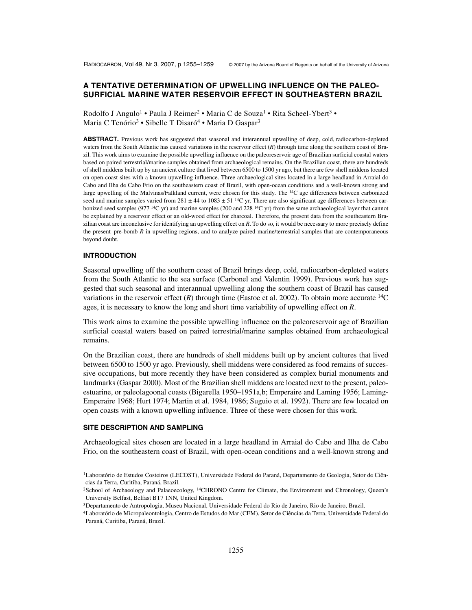# **A TENTATIVE DETERMINATION OF UPWELLING INFLUENCE ON THE PALEO-SURFICIAL MARINE WATER RESERVOIR EFFECT IN SOUTHEASTERN BRAZIL**

Rodolfo J Angulo<sup>1</sup> • Paula J Reimer<sup>2</sup> • Maria C de Souza<sup>1</sup> • Rita Scheel-Ybert<sup>3</sup> • Maria C Tenório<sup>3</sup> • Sibelle T Disaró<sup>4</sup> • Maria D Gaspar<sup>3</sup>

**ABSTRACT.** Previous work has suggested that seasonal and interannual upwelling of deep, cold, radiocarbon-depleted waters from the South Atlantic has caused variations in the reservoir effect (*R*) through time along the southern coast of Brazil. This work aims to examine the possible upwelling influence on the paleoreservoir age of Brazilian surficial coastal waters based on paired terrestrial/marine samples obtained from archaeological remains. On the Brazilian coast, there are hundreds of shell middens built up by an ancient culture that lived between 6500 to 1500 yr ago, but there are few shell middens located on open-coast sites with a known upwelling influence. Three archaeological sites located in a large headland in Arraial do Cabo and Ilha de Cabo Frio on the southeastern coast of Brazil, with open-ocean conditions and a well-known strong and large upwelling of the Malvinas/Falkland current, were chosen for this study. The 14C age differences between carbonized seed and marine samples varied from  $281 \pm 44$  to  $1083 \pm 51$  <sup>14</sup>C yr. There are also significant age differences between carbonized seed samples (977  $14C$  yr) and marine samples (200 and 228  $14C$  yr) from the same archaeological layer that cannot be explained by a reservoir effect or an old-wood effect for charcoal. Therefore, the present data from the southeastern Brazilian coast are inconclusive for identifying an upwelling effect on *R*. To do so, it would be necessary to more precisely define the present–pre-bomb *R* in upwelling regions, and to analyze paired marine/terrestrial samples that are contemporaneous beyond doubt.

#### **INTRODUCTION**

Seasonal upwelling off the southern coast of Brazil brings deep, cold, radiocarbon-depleted waters from the South Atlantic to the sea surface (Carbonel and Valentin 1999). Previous work has suggested that such seasonal and interannual upwelling along the southern coast of Brazil has caused variations in the reservoir effect  $(R)$  through time (Eastoe et al. 2002). To obtain more accurate <sup>14</sup>C ages, it is necessary to know the long and short time variability of upwelling effect on *R*.

This work aims to examine the possible upwelling influence on the paleoreservoir age of Brazilian surficial coastal waters based on paired terrestrial/marine samples obtained from archaeological remains.

On the Brazilian coast, there are hundreds of shell middens built up by ancient cultures that lived between 6500 to 1500 yr ago. Previously, shell middens were considered as food remains of successive occupations, but more recently they have been considered as complex burial monuments and landmarks (Gaspar 2000). Most of the Brazilian shell middens are located next to the present, paleoestuarine, or paleolagoonal coasts (Bigarella 1950–1951a,b; Emperaire and Laming 1956; Laming-Emperaire 1968; Hurt 1974; Martin et al. 1984, 1986; Suguio et al. 1992). There are few located on open coasts with a known upwelling influence. Three of these were chosen for this work.

## **SITE DESCRIPTION AND SAMPLING**

Archaeological sites chosen are located in a large headland in Arraial do Cabo and Ilha de Cabo Frio, on the southeastern coast of Brazil, with open-ocean conditions and a well-known strong and

<sup>&</sup>lt;sup>1</sup>Laboratório de Estudos Costeiros (LECOST), Universidade Federal do Paraná, Departamento de Geologia, Setor de Ciências da Terra, Curitiba, Paraná, Brazil.

<sup>&</sup>lt;sup>2</sup>School of Archaeology and Palaeoecology, <sup>14</sup>CHRONO Centre for Climate, the Environment and Chronology, Queen's University Belfast, Belfast BT7 1NN, United Kingdom.

<sup>3</sup>Departamento de Antropologia, Museu Nacional, Universidade Federal do Rio de Janeiro, Rio de Janeiro, Brazil.

<sup>4</sup>Laboratório de Micropaleontologia, Centro de Estudos do Mar (CEM), Setor de Ciências da Terra, Universidade Federal do Paraná, Curitiba, Paraná, Brazil.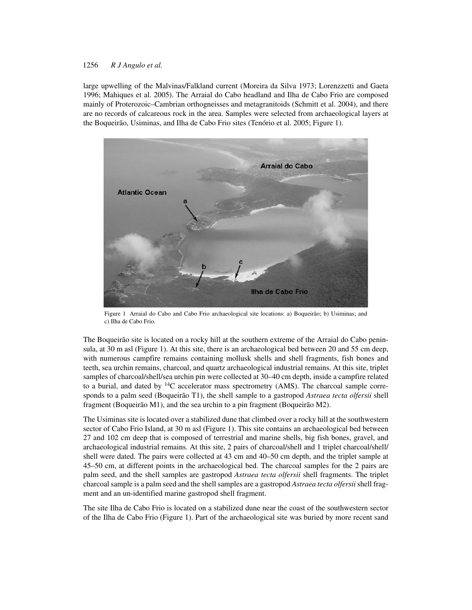### 1256 *R J Angulo et al.*

large upwelling of the Malvinas/Falkland current (Moreira da Silva 1973; Lorenzzetti and Gaeta 1996; Mahiques et al. 2005). The Arraial do Cabo headland and Ilha de Cabo Frio are composed mainly of Proterozoic–Cambrian orthogneisses and metagranitoids (Schmitt et al. 2004), and there are no records of calcareous rock in the area. Samples were selected from archaeological layers at the Boqueirão, Usiminas, and Ilha de Cabo Frio sites (Tenório et al. 2005; Figure 1).



Figure 1 Arraial do Cabo and Cabo Frio archaeological site locations: a) Boqueirão; b) Usiminas; and c) Ilha de Cabo Frio.

The Boqueirão site is located on a rocky hill at the southern extreme of the Arraial do Cabo peninsula, at 30 m asl (Figure 1). At this site, there is an archaeological bed between 20 and 55 cm deep, with numerous campfire remains containing mollusk shells and shell fragments, fish bones and teeth, sea urchin remains, charcoal, and quartz archaeological industrial remains. At this site, triplet samples of charcoal/shell/sea urchin pin were collected at 30–40 cm depth, inside a campfire related to a burial, and dated by  $14C$  accelerator mass spectrometry (AMS). The charcoal sample corresponds to a palm seed (Boqueirão T1), the shell sample to a gastropod *Astraea tecta olfersii* shell fragment (Boqueirão M1), and the sea urchin to a pin fragment (Boqueirão M2).

The Usiminas site is located over a stabilized dune that climbed over a rocky hill at the southwestern sector of Cabo Frio Island, at 30 m asl (Figure 1). This site contains an archaeological bed between 27 and 102 cm deep that is composed of terrestrial and marine shells, big fish bones, gravel, and archaeological industrial remains. At this site, 2 pairs of charcoal/shell and 1 triplet charcoal/shell/ shell were dated. The pairs were collected at 43 cm and 40–50 cm depth, and the triplet sample at 45–50 cm, at different points in the archaeological bed. The charcoal samples for the 2 pairs are palm seed, and the shell samples are gastropod *Astraea tecta olfersii* shell fragments. The triplet charcoal sample is a palm seed and the shell samples are a gastropod *Astraea tecta olfersii* shell fragment and an un-identified marine gastropod shell fragment.

The site Ilha de Cabo Frio is located on a stabilized dune near the coast of the southwestern sector of the Ilha de Cabo Frio (Figure 1). Part of the archaeological site was buried by more recent sand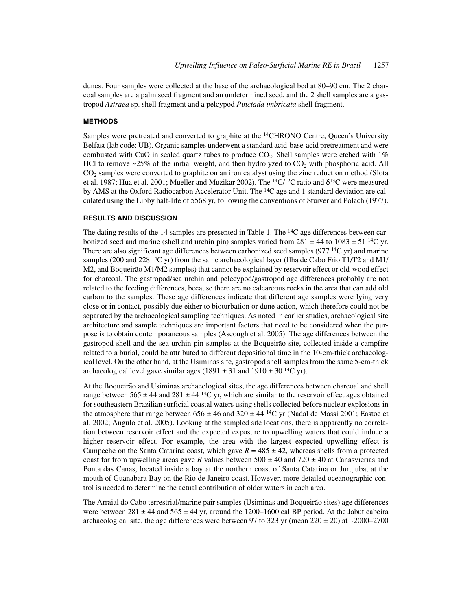dunes. Four samples were collected at the base of the archaeological bed at 80–90 cm. The 2 charcoal samples are a palm seed fragment and an undetermined seed, and the 2 shell samples are a gastropod *Astraea* sp. shell fragment and a pelcypod *Pinctada imbricata* shell fragment.

### **METHODS**

Samples were pretreated and converted to graphite at the <sup>14</sup>CHRONO Centre, Queen's University Belfast (lab code: UB). Organic samples underwent a standard acid-base-acid pretreatment and were combusted with CuO in sealed quartz tubes to produce  $CO<sub>2</sub>$ . Shell samples were etched with 1% HCl to remove  $\sim$ 25% of the initial weight, and then hydrolyzed to CO<sub>2</sub> with phosphoric acid. All  $CO<sub>2</sub>$  samples were converted to graphite on an iron catalyst using the zinc reduction method (Slota et al. 1987; Hua et al. 2001; Mueller and Muzikar 2002). The <sup>14</sup>C/<sup>12</sup>C ratio and  $\delta$ <sup>13</sup>C were measured by AMS at the Oxford Radiocarbon Accelerator Unit. The <sup>14</sup>C age and 1 standard deviation are calculated using the Libby half-life of 5568 yr, following the conventions of Stuiver and Polach (1977).

### **RESULTS AND DISCUSSION**

The dating results of the 14 samples are presented in Table 1. The  ${}^{14}$ C age differences between carbonized seed and marine (shell and urchin pin) samples varied from  $281 \pm 44$  to  $1083 \pm 51$  <sup>14</sup>C yr. There are also significant age differences between carbonized seed samples (977<sup>14</sup>C yr) and marine samples (200 and 228<sup>14</sup>C yr) from the same archaeological layer (Ilha de Cabo Frio T1/T2 and M1/ M2, and Boqueirão M1/M2 samples) that cannot be explained by reservoir effect or old-wood effect for charcoal. The gastropod/sea urchin and pelecypod/gastropod age differences probably are not related to the feeding differences, because there are no calcareous rocks in the area that can add old carbon to the samples. These age differences indicate that different age samples were lying very close or in contact, possibly due either to bioturbation or dune action, which therefore could not be separated by the archaeological sampling techniques. As noted in earlier studies, archaeological site architecture and sample techniques are important factors that need to be considered when the purpose is to obtain contemporaneous samples (Ascough et al. 2005). The age differences between the gastropod shell and the sea urchin pin samples at the Boqueirão site, collected inside a campfire related to a burial, could be attributed to different depositional time in the 10-cm-thick archaeological level. On the other hand, at the Usiminas site, gastropod shell samples from the same 5-cm-thick archaeological level gave similar ages (1891  $\pm$  31 and 1910  $\pm$  30<sup>14</sup>C yr).

At the Boqueirão and Usiminas archaeological sites, the age differences between charcoal and shell range between 565  $\pm$  44 and 281  $\pm$  44 <sup>14</sup>C yr, which are similar to the reservoir effect ages obtained for southeastern Brazilian surficial coastal waters using shells collected before nuclear explosions in the atmosphere that range between  $656 \pm 46$  and  $320 \pm 44$  <sup>14</sup>C yr (Nadal de Massi 2001; Eastoe et al. 2002; Angulo et al. 2005). Looking at the sampled site locations, there is apparently no correlation between reservoir effect and the expected exposure to upwelling waters that could induce a higher reservoir effect. For example, the area with the largest expected upwelling effect is Campeche on the Santa Catarina coast, which gave  $R = 485 \pm 42$ , whereas shells from a protected coast far from upwelling areas gave *R* values between  $500 \pm 40$  and  $720 \pm 40$  at Canasvierias and Ponta das Canas, located inside a bay at the northern coast of Santa Catarina or Jurujuba, at the mouth of Guanabara Bay on the Rio de Janeiro coast. However, more detailed oceanographic control is needed to determine the actual contribution of older waters in each area.

The Arraial do Cabo terrestrial/marine pair samples (Usiminas and Boqueirão sites) age differences were between  $281 \pm 44$  and  $565 \pm 44$  yr, around the 1200–1600 cal BP period. At the Jabuticabeira archaeological site, the age differences were between 97 to 323 yr (mean  $220 \pm 20$ ) at  $\sim$ 2000–2700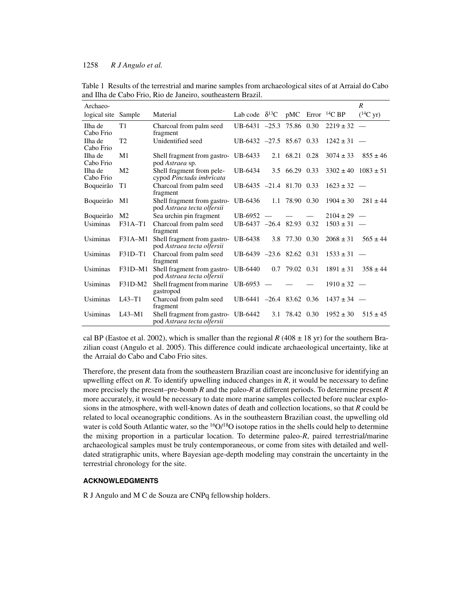### 1258 *R J Angulo et al.*

| Archaeo-             |                |                                                                   |                            |                          |                    |                                            | R                     |
|----------------------|----------------|-------------------------------------------------------------------|----------------------------|--------------------------|--------------------|--------------------------------------------|-----------------------|
| logical site Sample  |                | Material                                                          | Lab code $\delta^{13}C$    |                          |                    | $pMC$ Error <sup>14</sup> C BP             | $(^{14}C \text{ yr})$ |
| Ilha de<br>Cabo Frio | T1             | Charcoal from palm seed<br>fragment                               | $UB-6431 -25.3$ 75.86 0.30 |                          |                    | $2219 \pm 32$                              |                       |
| Ilha de<br>Cabo Frio | T <sub>2</sub> | Unidentified seed                                                 | UB-6432 $-27.5$ 85.67 0.33 |                          |                    | $1242 \pm 31$ –                            |                       |
| Ilha de<br>Cabo Frio | M <sub>1</sub> | Shell fragment from gastro- UB-6433<br>pod Astraea sp.            |                            | 2.1                      | 68.21 0.28         | $3074 \pm 33$                              | $855 \pm 46$          |
| Ilha de<br>Cabo Frio | M <sub>2</sub> | Shell fragment from pele-<br>cypod Pinctada imbricata             | UB-6434                    |                          | 3.5 66.29 0.33     | $3302 \pm 40$                              | $1083 \pm 51$         |
| Boqueirão            | T1             | Charcoal from palm seed<br>fragment                               | $UB-6435 -21.4 81.70 0.33$ |                          |                    | $1623 \pm 32$ –                            |                       |
| Boqueirão            | M1             | Shell fragment from gastro-<br>pod Astraea tecta olfersii         | UB-6436                    |                          | 1.1 78.90 0.30     | $1904 \pm 30$                              | $281 + 44$            |
| Boqueirão            | M <sub>2</sub> | Sea urchin pin fragment                                           | UB-6952                    |                          |                    | $2104 \pm 29$ –                            |                       |
| Usiminas             | $F31A-T1$      | Charcoal from palm seed<br>fragment                               | UB-6437 $-26.4$ 82.93 0.32 |                          |                    | $1503 \pm 31$ –                            |                       |
| Usiminas             | $F31A-M1$      | Shell fragment from gastro-<br>pod Astraea tecta olfersii         | UB-6438                    |                          | 3.8 77.30 0.30     | $2068 \pm 31$                              | $565 \pm 44$          |
| Usiminas             | $F31D-T1$      | Charcoal from palm seed<br>fragment                               | $UB-6439 -23.6 82.62 0.31$ |                          |                    | $1533 \pm 31$                              | $\sim$                |
| Usiminas             | F31D-M1        | Shell fragment from gastro- UB-6440<br>pod Astraea tecta olfersii |                            |                          | $0.7$ 79.02 $0.31$ | $1891 \pm 31$                              | $358 \pm 44$          |
| Usiminas             | F31D-M2        | Shell fragment from marine UB-6953<br>gastropod                   |                            | $\overline{\phantom{a}}$ |                    | $1910 \pm 32$ –                            |                       |
| Usiminas             | $IA3-T1$       | Charcoal from palm seed<br>fragment                               |                            |                          |                    | UB-6441 $-26.4$ 83.62 0.36 $1437 \pm 34$ - |                       |
| Usiminas             | $IA3-M1$       | Shell fragment from gastro- UB-6442<br>pod Astraea tecta olfersii |                            | 3.1                      | 78.42 0.30         | $1952 \pm 30$                              | $515 \pm 45$          |

Table 1 Results of the terrestrial and marine samples from archaeological sites of at Arraial do Cabo and Ilha de Cabo Frio, Rio de Janeiro, southeastern Brazil.

cal BP (Eastoe et al. 2002), which is smaller than the regional  $R$  (408  $\pm$  18 yr) for the southern Brazilian coast (Angulo et al. 2005). This difference could indicate archaeological uncertainty, like at the Arraial do Cabo and Cabo Frio sites.

Therefore, the present data from the southeastern Brazilian coast are inconclusive for identifying an upwelling effect on  $R$ . To identify upwelling induced changes in  $R$ , it would be necessary to define more precisely the present–pre-bomb *R* and the paleo-*R* at different periods. To determine present *R* more accurately, it would be necessary to date more marine samples collected before nuclear explosions in the atmosphere, with well-known dates of death and collection locations, so that *R* could be related to local oceanographic conditions. As in the southeastern Brazilian coast, the upwelling old water is cold South Atlantic water, so the  $\frac{160}{180}$  isotope ratios in the shells could help to determine the mixing proportion in a particular location. To determine paleo-*R*, paired terrestrial/marine archaeological samples must be truly contemporaneous, or come from sites with detailed and welldated stratigraphic units, where Bayesian age-depth modeling may constrain the uncertainty in the terrestrial chronology for the site.

## **ACKNOWLEDGMENTS**

R J Angulo and M C de Souza are CNPq fellowship holders.